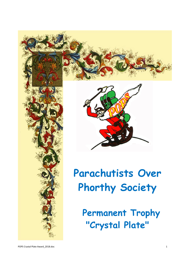





# **Parachutists Over Phorthy Society**

 **Permanent Trophy "Crystal Plate"**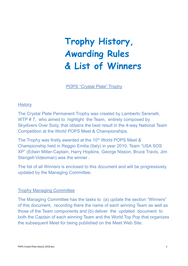# **Trophy History, Awarding Rules & List of Winners**

POPS "Crystal Plate" Trophy

#### **History**

The Crystal Plate Permanent Trophy was created by Lamberto Serenelli, WTP #7, who aimed to highlight the Team, entirely composed by Skydivers Over Sixty, that obtains the best result in the 4-way National Team Competition at the World POPS Meet & Championships.

The Trophy was firstly awarded at the 10<sup>th</sup> World POPS Meet & Championship held in Reggio Emilia (Italy) in year 2010; Team "USA SOS XP" (Edwin Miller-Captain, Harry Hopkins, George Nisson, Bruce Travis, Jim Stengell-Videoman) was the winner .

The list of all Winners is enclosed to this document and will be progressively updated by the Managing Committee.

#### Trophy Managing Committee

The Managing Committee has the tasks to (a) update the section "Winners" of this document, recording there the name of each winning Team as well as those of the Team components and (b) deliver the updated document to both the Captain of each winning Team and the World Top Pop that organizes the subsequent Meet for being published on the Meet Web Site.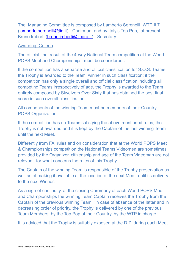The Managing Committee is composed by Lamberto Serenelli WTP # 7 [\(lamberto.serenelli@tin.it\)](mailto:lamberto.serenelli@tin.it) - Chairman and by Italy's Top Pop, at present Bruno Imberti [\(bruno.imberti@libero.it\)](mailto:bruno.imberti@libero.it) - Secretary.

### Awarding Criteria

The official final result of the 4-way National Team competition at the World POPS Meet and Championships must be considered .

If the competition has a separate and official classification for S.O.S. Teams, the Trophy is awarded to the Team winner in such classification; if the competition has only a single overall and official classification including all competing Teams irrespectively of age, the Trophy is awarded to the Team entirely composed by Skydivers Over Sixty that has obtained the best final score in such overall classification.

All components of the winning Team must be members of their Country POPS Organization.

If the competition has no Teams satisfying the above mentioned rules, the Trophy is not awarded and it is kept by the Captain of the last winning Team until the next Meet.

Differently from FAI rules and on consideration that at the World POPS Meet & Championships competition the National Teams Videomen are sometimes provided by the Organizer, citizenship and age of the Team Videoman are not relevant for what concerns the rules of this Trophy.

The Captain of the winning Team is responsible of the Trophy preservation as well as of making it available at the location of the next Meet, until its delivery to the next Winner.

As a sign of continuity, at the closing Ceremony of each World POPS Meet and Championships the winning Team Captain receives the Trophy from the Captain of the previous winning Team. In case of absence of the latter and in decreasing order of priority, the Trophy is delivered by one of the previous Team Members, by the Top Pop of their Country, by the WTP in charge.

It is adviced that the Trophy is suitably exposed at the D.Z. during each Meet.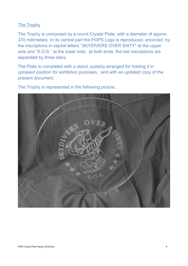# The Trophy

The Trophy is composed by a round Crystal Plate, with a diameter of approx. 370 millimeters. In its central part the POPS Logo is reproduced, encircled by the inscriptions in capital letters "SKYDIVERS OVER SIXTY" at the upper side and "S.O.S." at the lower side; at both ends, the two inscriptions are separated by three stars.

The Plate is completed with a stand, suitably arranged for holding it in upraised position for exhibition purposes, and with an updated copy of the present document.

The Trophy is represented in the following picture.